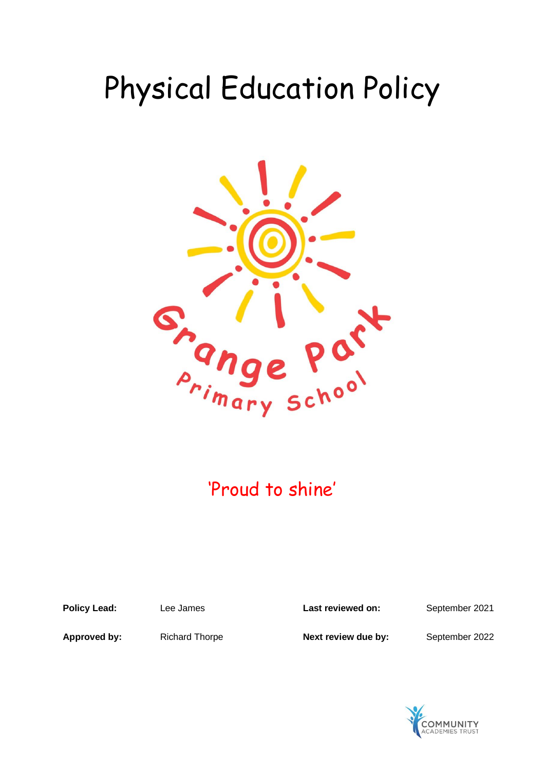# Physical Education Policy



# 'Proud to shine'

**Policy Lead:** Lee James **Last reviewed on:** September 2021

**Approved by:** Richard Thorpe **Next review due by:** September 2022

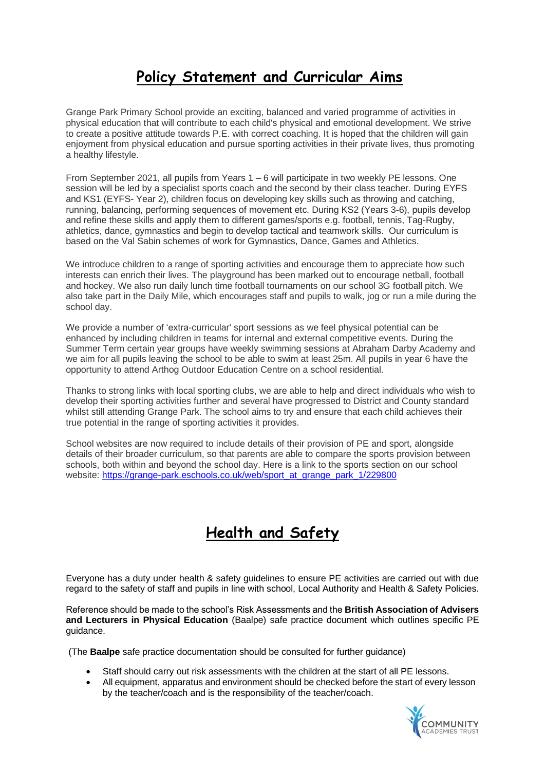#### **Policy Statement and Curricular Aims**

Grange Park Primary School provide an exciting, balanced and varied programme of activities in physical education that will contribute to each child's physical and emotional development. We strive to create a positive attitude towards P.E. with correct coaching. It is hoped that the children will gain enjoyment from physical education and pursue sporting activities in their private lives, thus promoting a healthy lifestyle.

From September 2021, all pupils from Years 1 – 6 will participate in two weekly PE lessons. One session will be led by a specialist sports coach and the second by their class teacher. During EYFS and KS1 (EYFS- Year 2), children focus on developing key skills such as throwing and catching, running, balancing, performing sequences of movement etc. During KS2 (Years 3-6), pupils develop and refine these skills and apply them to different games/sports e.g. football, tennis, Tag-Rugby, athletics, dance, gymnastics and begin to develop tactical and teamwork skills. Our curriculum is based on the Val Sabin schemes of work for Gymnastics, Dance, Games and Athletics.

We introduce children to a range of sporting activities and encourage them to appreciate how such interests can enrich their lives. The playground has been marked out to encourage netball, football and hockey. We also run daily lunch time football tournaments on our school 3G football pitch. We also take part in the Daily Mile, which encourages staff and pupils to walk, jog or run a mile during the school day.

We provide a number of 'extra-curricular' sport sessions as we feel physical potential can be enhanced by including children in teams for internal and external competitive events. During the Summer Term certain year groups have weekly swimming sessions at Abraham Darby Academy and we aim for all pupils leaving the school to be able to swim at least 25m. All pupils in year 6 have the opportunity to attend Arthog Outdoor Education Centre on a school residential.

Thanks to strong links with local sporting clubs, we are able to help and direct individuals who wish to develop their sporting activities further and several have progressed to District and County standard whilst still attending Grange Park. The school aims to try and ensure that each child achieves their true potential in the range of sporting activities it provides.

School websites are now required to include details of their provision of PE and sport, alongside details of their broader curriculum, so that parents are able to compare the sports provision between schools, both within and beyond the school day. Here is a link to the sports section on our school website: [https://grange-park.eschools.co.uk/web/sport\\_at\\_grange\\_park\\_1/229800](https://grange-park.eschools.co.uk/web/sport_at_grange_park_1/229800)

#### **Health and Safety**

Everyone has a duty under health & safety guidelines to ensure PE activities are carried out with due regard to the safety of staff and pupils in line with school, Local Authority and Health & Safety Policies.

Reference should be made to the school's Risk Assessments and the **British Association of Advisers and Lecturers in Physical Education** (Baalpe) safe practice document which outlines specific PE guidance.

(The **Baalpe** safe practice documentation should be consulted for further guidance)

- Staff should carry out risk assessments with the children at the start of all PE lessons.
- All equipment, apparatus and environment should be checked before the start of every lesson by the teacher/coach and is the responsibility of the teacher/coach.

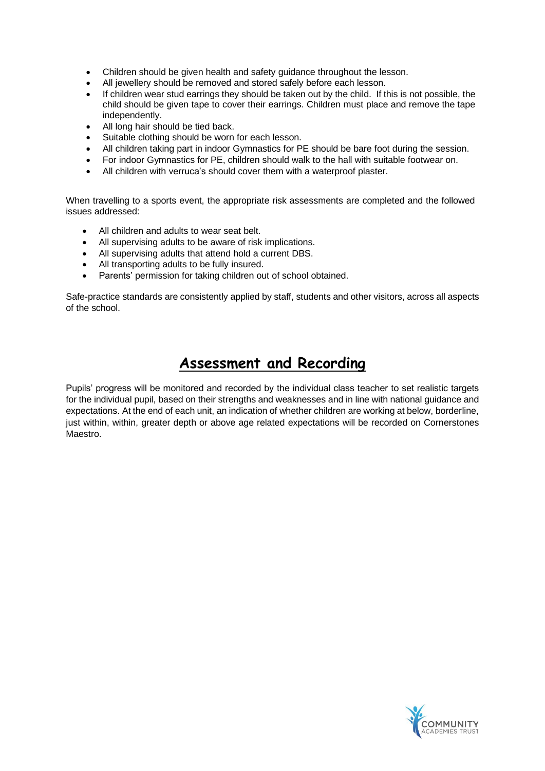- Children should be given health and safety guidance throughout the lesson.
- All jewellery should be removed and stored safely before each lesson.
- If children wear stud earrings they should be taken out by the child. If this is not possible, the child should be given tape to cover their earrings. Children must place and remove the tape independently.
- All long hair should be tied back.
- Suitable clothing should be worn for each lesson.
- All children taking part in indoor Gymnastics for PE should be bare foot during the session.
- For indoor Gymnastics for PE, children should walk to the hall with suitable footwear on.
- All children with verruca's should cover them with a waterproof plaster.

When travelling to a sports event, the appropriate risk assessments are completed and the followed issues addressed:

- All children and adults to wear seat belt.
- All supervising adults to be aware of risk implications.
- All supervising adults that attend hold a current DBS.
- All transporting adults to be fully insured.
- Parents' permission for taking children out of school obtained.

Safe-practice standards are consistently applied by staff, students and other visitors, across all aspects of the school.

#### **Assessment and Recording**

Pupils' progress will be monitored and recorded by the individual class teacher to set realistic targets for the individual pupil, based on their strengths and weaknesses and in line with national guidance and expectations. At the end of each unit, an indication of whether children are working at below, borderline, just within, within, greater depth or above age related expectations will be recorded on Cornerstones Maestro.